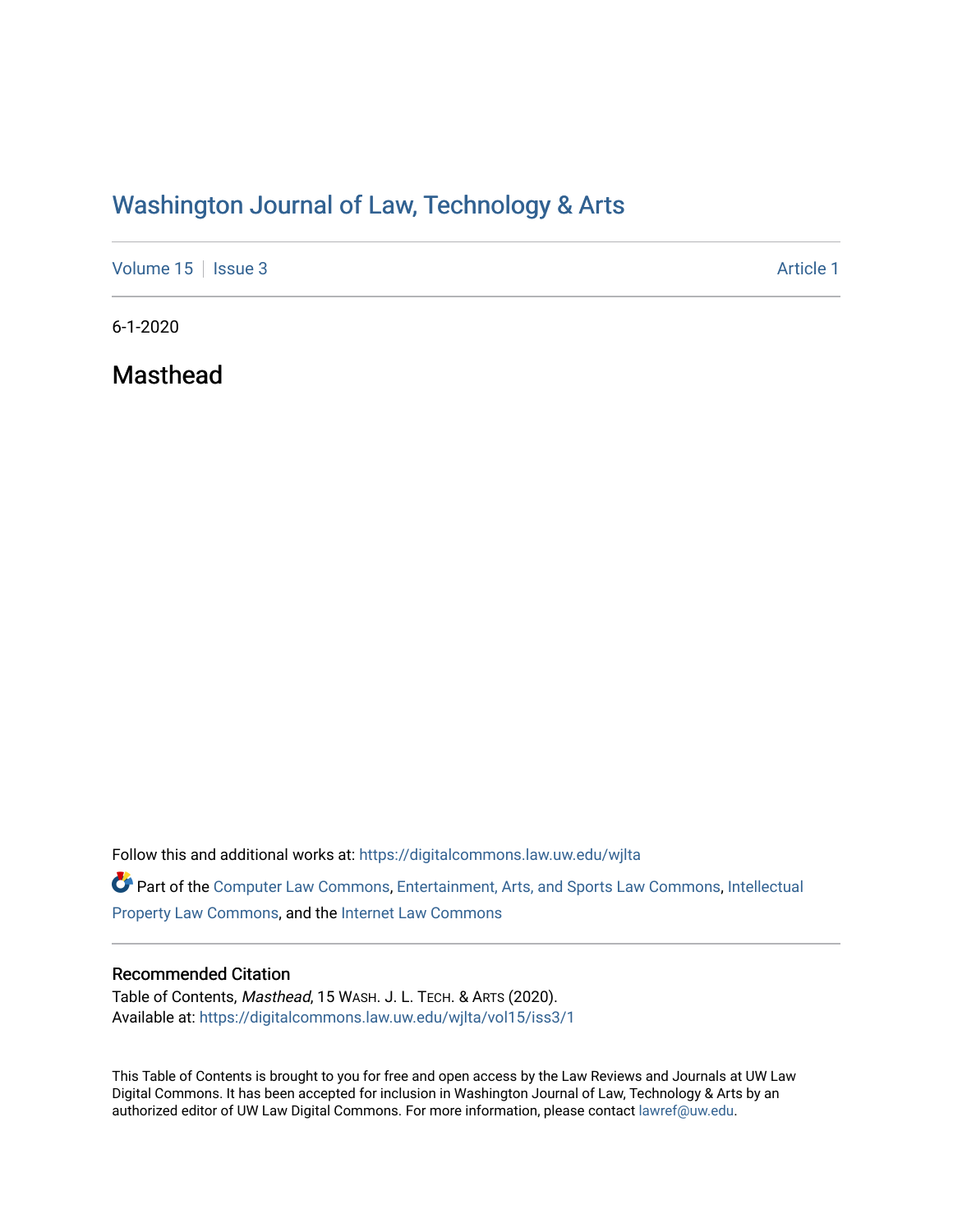# Washington Journal of Law, Technology & Arts

[Volume 15](https://digitalcommons.law.uw.edu/wjlta/vol15) | [Issue 3](https://digitalcommons.law.uw.edu/wjlta/vol15/iss3) Article 1

6-1-2020

Masthead

Follow this and additional works at: [https://digitalcommons.law.uw.edu/wjlta](https://digitalcommons.law.uw.edu/wjlta?utm_source=digitalcommons.law.uw.edu%2Fwjlta%2Fvol15%2Fiss3%2F1&utm_medium=PDF&utm_campaign=PDFCoverPages) 

Part of the [Computer Law Commons,](http://network.bepress.com/hgg/discipline/837?utm_source=digitalcommons.law.uw.edu%2Fwjlta%2Fvol15%2Fiss3%2F1&utm_medium=PDF&utm_campaign=PDFCoverPages) [Entertainment, Arts, and Sports Law Commons](http://network.bepress.com/hgg/discipline/893?utm_source=digitalcommons.law.uw.edu%2Fwjlta%2Fvol15%2Fiss3%2F1&utm_medium=PDF&utm_campaign=PDFCoverPages), [Intellectual](http://network.bepress.com/hgg/discipline/896?utm_source=digitalcommons.law.uw.edu%2Fwjlta%2Fvol15%2Fiss3%2F1&utm_medium=PDF&utm_campaign=PDFCoverPages)  [Property Law Commons](http://network.bepress.com/hgg/discipline/896?utm_source=digitalcommons.law.uw.edu%2Fwjlta%2Fvol15%2Fiss3%2F1&utm_medium=PDF&utm_campaign=PDFCoverPages), and the [Internet Law Commons](http://network.bepress.com/hgg/discipline/892?utm_source=digitalcommons.law.uw.edu%2Fwjlta%2Fvol15%2Fiss3%2F1&utm_medium=PDF&utm_campaign=PDFCoverPages) 

#### Recommended Citation

Table of Contents, Masthead, 15 WASH. J. L. TECH. & ARTS (2020). Available at: [https://digitalcommons.law.uw.edu/wjlta/vol15/iss3/1](https://digitalcommons.law.uw.edu/wjlta/vol15/iss3/1?utm_source=digitalcommons.law.uw.edu%2Fwjlta%2Fvol15%2Fiss3%2F1&utm_medium=PDF&utm_campaign=PDFCoverPages) 

This Table of Contents is brought to you for free and open access by the Law Reviews and Journals at UW Law Digital Commons. It has been accepted for inclusion in Washington Journal of Law, Technology & Arts by an authorized editor of UW Law Digital Commons. For more information, please contact [lawref@uw.edu.](mailto:lawref@uw.edu)